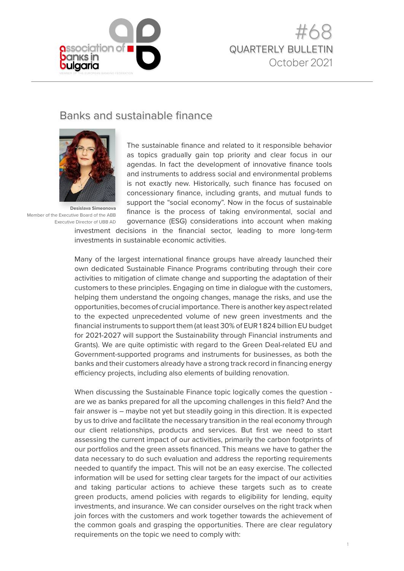



# Banks and sustainable finance



**Desislava Simeonova**  Member of the Executive Board of the ABB Executive Director of UBB AD

The sustainable finance and related to it responsible behavior as topics gradually gain top priority and clear focus in our agendas. In fact the development of innovative finance tools and instruments to address social and environmental problems is not exactly new. Historically, such finance has focused on concessionary finance, including grants, and mutual funds to support the "social economy". Now in the focus of sustainable finance is the process of taking environmental, social and governance (ESG) considerations into account when making

investment decisions in the financial sector, leading to more long-term investments in sustainable economic activities.

Many of the largest international finance groups have already launched their own dedicated Sustainable Finance Programs contributing through their core activities to mitigation of climate change and supporting the adaptation of their customers to these principles. Engaging on time in dialogue with the customers, helping them understand the ongoing changes, manage the risks, and use the opportunities, becomes of crucial importance. There is another key aspect related to the expected unprecedented volume of new green investments and the financial instruments to support them (at least 30% of EUR 1 824 billion EU budget for 2021-2027 will support the Sustainability through Financial instruments and Grants). We are quite optimistic with regard to the Green Deal-related EU and Government-supported programs and instruments for businesses, as both the banks and their customers already have a strong track record in financing energy efficiency projects, including also elements of building renovation.

When discussing the Sustainable Finance topic logically comes the question are we as banks prepared for all the upcoming challenges in this field? And the fair answer is – maybe not yet but steadily going in this direction. It is expected by us to drive and facilitate the necessary transition in the real economy through our client relationships, products and services. But first we need to start assessing the current impact of our activities, primarily the carbon footprints of our portfolios and the green assets financed. This means we have to gather the data necessary to do such evaluation and address the reporting requirements needed to quantify the impact. This will not be an easy exercise. The collected information will be used for setting clear targets for the impact of our activities and taking particular actions to achieve these targets such as to create green products, amend policies with regards to eligibility for lending, equity investments, and insurance. We can consider ourselves on the right track when join forces with the customers and work together towards the achievement of the common goals and grasping the opportunities. There are clear regulatory requirements on the topic we need to comply with: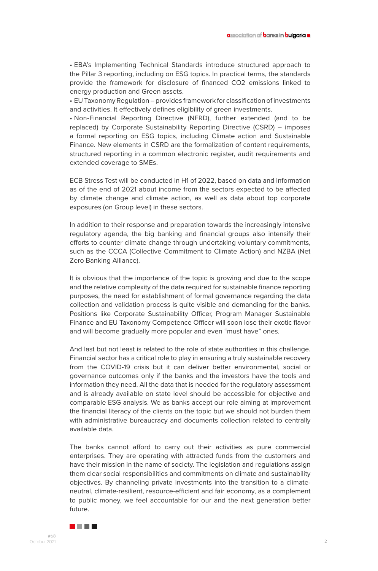• EBA's Implementing Technical Standards introduce structured approach to the Pillar 3 reporting, including on ESG topics. In practical terms, the standards provide the framework for disclosure of financed CO2 emissions linked to energy production and Green assets.

• EU Taxonomy Regulation – provides framework for classification of investments and activities. It effectively defines eligibility of green investments.

• Non-Financial Reporting Directive (NFRD), further extended (and to be replaced) by Corporate Sustainability Reporting Directive (CSRD) – imposes a formal reporting on ESG topics, including Climate action and Sustainable Finance. New elements in CSRD are the formalization of content requirements, structured reporting in a common electronic register, audit requirements and extended coverage to SMEs.

ECB Stress Test will be conducted in H1 of 2022, based on data and information as of the end of 2021 about income from the sectors expected to be affected by climate change and climate action, as well as data about top corporate exposures (on Group level) in these sectors.

In addition to their response and preparation towards the increasingly intensive regulatory agenda, the big banking and financial groups also intensify their efforts to counter climate change through undertaking voluntary commitments, such as the CCCA (Collective Commitment to Climate Action) and NZBA (Net Zero Banking Alliance).

It is obvious that the importance of the topic is growing and due to the scope and the relative complexity of the data required for sustainable finance reporting purposes, the need for establishment of formal governance regarding the data collection and validation process is quite visible and demanding for the banks. Positions like Corporate Sustainability Officer, Program Manager Sustainable Finance and EU Taxonomy Competence Officer will soon lose their exotic flavor and will become gradually more popular and even "must have" ones.

And last but not least is related to the role of state authorities in this challenge. Financial sector has a critical role to play in ensuring a truly sustainable recovery from the COVID-19 crisis but it can deliver better environmental, social or governance outcomes only if the banks and the investors have the tools and information they need. All the data that is needed for the regulatory assessment and is already available on state level should be accessible for objective and comparable ESG analysis. We as banks accept our role aiming at improvement the financial literacy of the clients on the topic but we should not burden them with administrative bureaucracy and documents collection related to centrally available data.

The banks cannot afford to carry out their activities as pure commercial enterprises. They are operating with attracted funds from the customers and have their mission in the name of society. The legislation and regulations assign them clear social responsibilities and commitments on climate and sustainability objectives. By channeling private investments into the transition to a climateneutral, climate-resilient, resource-efficient and fair economy, as a complement to public money, we feel accountable for our and the next generation better future.

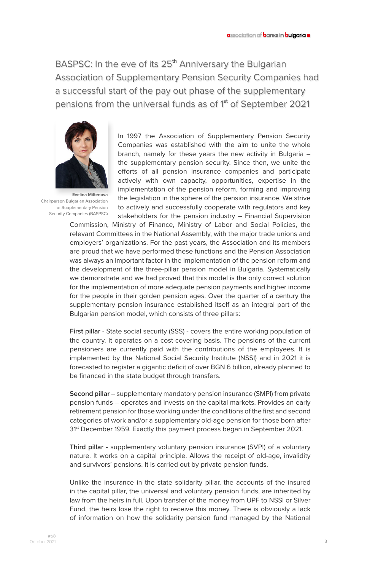BASPSC: In the eve of its 25<sup>th</sup> Anniversary the Bulgarian Association of Supplementary Pension Security Companies had a successful start of the pay out phase of the supplementary pensions from the universal funds as of 1<sup>st</sup> of September 2021



**Evelina Miltenova**  Chairperson Bulgarian Association of Supplementary Pension Security Companies (BASPSC)

In 1997 the Association of Supplementary Pension Security Companies was established with the aim to unite the whole branch, namely for these years the new activity in Bulgaria – the supplementary pension security. Since then, we unite the efforts of all pension insurance companies and participate actively with own capacity, opportunities, expertise in the implementation of the pension reform, forming and improving the legislation in the sphere of the pension insurance. We strive to actively and successfully cooperate with regulators and key stakeholders for the pension industry – Financial Supervision

Commission, Ministry of Finance, Ministry of Labor and Social Policies, the relevant Committees in the National Assembly, with the major trade unions and employers' organizations. For the past years, the Association and its members are proud that we have performed these functions and the Pension Association was always an important factor in the implementation of the pension reform and the development of the three-pillar pension model in Bulgaria. Systematically we demonstrate and we had proved that this model is the only correct solution for the implementation of more adequate pension payments and higher income for the people in their golden pension ages. Over the quarter of a century the supplementary pension insurance established itself as an integral part of the Bulgarian pension model, which consists of three pillars:

**First pillar** - State social security (SSS) - covers the entire working population of the country. It operates on a cost-covering basis. The pensions of the current pensioners are currently paid with the contributions of the employees. It is implemented by the National Social Security Institute (NSSI) and in 2021 it is forecasted to register a gigantic deficit of over BGN 6 billion, already planned to be financed in the state budget through transfers.

**Second pillar** – supplementary mandatory pension insurance (SMPI) from private pension funds – operates and invests on the capital markets. Provides an early retirement pension for those working under the conditions of the first and second categories of work and/or a supplementary old-age pension for those born after 31<sup>st</sup> December 1959. Exactly this payment process began in September 2021.

**Third pillar** - supplementary voluntary pension insurance (SVPI) of a voluntary nature. It works on a capital principle. Allows the receipt of old-age, invalidity and survivors' pensions. It is carried out by private pension funds.

Unlike the insurance in the state solidarity pillar, the accounts of the insured in the capital pillar, the universal and voluntary pension funds, are inherited by law from the heirs in full. Upon transfer of the money from UPF to NSSI or Silver Fund, the heirs lose the right to receive this money. There is obviously a lack of information on how the solidarity pension fund managed by the National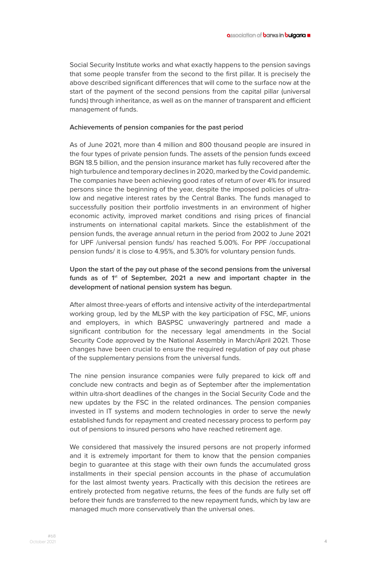Social Security Institute works and what exactly happens to the pension savings that some people transfer from the second to the first pillar. It is precisely the above described significant differences that will come to the surface now at the start of the payment of the second pensions from the capital pillar (universal funds) through inheritance, as well as on the manner of transparent and efficient management of funds.

#### **Achievements of pension companies for the past period**

As of June 2021, more than 4 million and 800 thousand people are insured in the four types of private pension funds. The assets of the pension funds exceed BGN 18.5 billion, and the pension insurance market has fully recovered after the high turbulence and temporary declines in 2020, marked by the Covid pandemic. The companies have been achieving good rates of return of over 4% for insured persons since the beginning of the year, despite the imposed policies of ultralow and negative interest rates by the Central Banks. The funds managed to successfully position their portfolio investments in an environment of higher economic activity, improved market conditions and rising prices of financial instruments on international capital markets. Since the establishment of the pension funds, the average annual return in the period from 2002 to June 2021 for UPF /universal pension funds/ has reached 5.00%. For PPF /occupational pension funds/ it is close to 4.95%, and 5.30% for voluntary pension funds.

### **Upon the start of the pay out phase of the second pensions from the universal**  funds as of 1<sup>st</sup> of September, 2021 a new and important chapter in the **development of national pension system has begun.**

After almost three-years of efforts and intensive activity of the interdepartmental working group, led by the MLSP with the key participation of FSC, MF, unions and employers, in which BASPSC unwaveringly partnered and made a significant contribution for the necessary legal amendments in the Social Security Code approved by the National Assembly in March/April 2021. Those changes have been crucial to ensure the required regulation of pay out phase of the supplementary pensions from the universal funds.

The nine pension insurance companies were fully prepared to kick off and conclude new contracts and begin as of September after the implementation within ultra-short deadlines of the changes in the Social Security Code and the new updates by the FSC in the related ordinances. The pension companies invested in IT systems and modern technologies in order to serve the newly established funds for repayment and created necessary process to perform pay out of pensions to insured persons who have reached retirement age.

We considered that massively the insured persons are not properly informed and it is extremely important for them to know that the pension companies begin to guarantee at this stage with their own funds the accumulated gross installments in their special pension accounts in the phase of accumulation for the last almost twenty years. Practically with this decision the retirees are entirely protected from negative returns, the fees of the funds are fully set o before their funds are transferred to the new repayment funds, which by law are managed much more conservatively than the universal ones.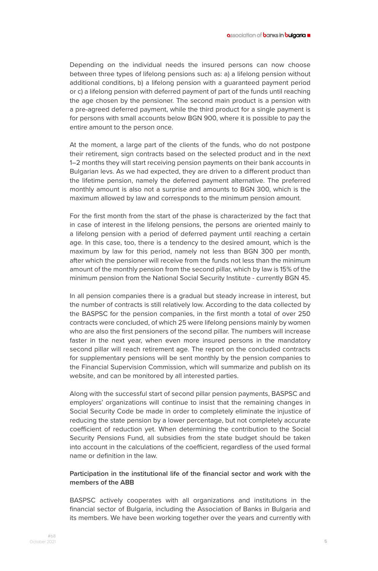Depending on the individual needs the insured persons can now choose between three types of lifelong pensions such as: a) a lifelong pension without additional conditions, b) a lifelong pension with a guaranteed payment period or c) a lifelong pension with deferred payment of part of the funds until reaching the age chosen by the pensioner. The second main product is a pension with a pre-agreed deferred payment, while the third product for a single payment is for persons with small accounts below BGN 900, where it is possible to pay the entire amount to the person once.

At the moment, a large part of the clients of the funds, who do not postpone their retirement, sign contracts based on the selected product and in the next 1–2 months they will start receiving pension payments on their bank accounts in Bulgarian levs. As we had expected, they are driven to a different product than the lifetime pension, namely the deferred payment alternative. The preferred monthly amount is also not a surprise and amounts to BGN 300, which is the maximum allowed by law and corresponds to the minimum pension amount.

For the first month from the start of the phase is characterized by the fact that in case of interest in the lifelong pensions, the persons are oriented mainly to a lifelong pension with a period of deferred payment until reaching a certain age. In this case, too, there is a tendency to the desired amount, which is the maximum by law for this period, namely not less than BGN 300 per month, after which the pensioner will receive from the funds not less than the minimum amount of the monthly pension from the second pillar, which by law is 15% of the minimum pension from the National Social Security Institute - currently BGN 45.

In all pension companies there is a gradual but steady increase in interest, but the number of contracts is still relatively low. According to the data collected by the BASPSC for the pension companies, in the first month a total of over 250 contracts were concluded, of which 25 were lifelong pensions mainly by women who are also the first pensioners of the second pillar. The numbers will increase faster in the next year, when even more insured persons in the mandatory second pillar will reach retirement age. The report on the concluded contracts for supplementary pensions will be sent monthly by the pension companies to the Financial Supervision Commission, which will summarize and publish on its website, and can be monitored by all interested parties.

Along with the successful start of second pillar pension payments, BASPSC and employers' organizations will continue to insist that the remaining changes in Social Security Code be made in order to completely eliminate the injustice of reducing the state pension by a lower percentage, but not completely accurate coefficient of reduction yet. When determining the contribution to the Social Security Pensions Fund, all subsidies from the state budget should be taken into account in the calculations of the coefficient, regardless of the used formal name or definition in the law.

#### **Participation in the institutional life of the financial sector and work with the members of the ABB**

BASPSC actively cooperates with all organizations and institutions in the financial sector of Bulgaria, including the Association of Banks in Bulgaria and its members. We have been working together over the years and currently with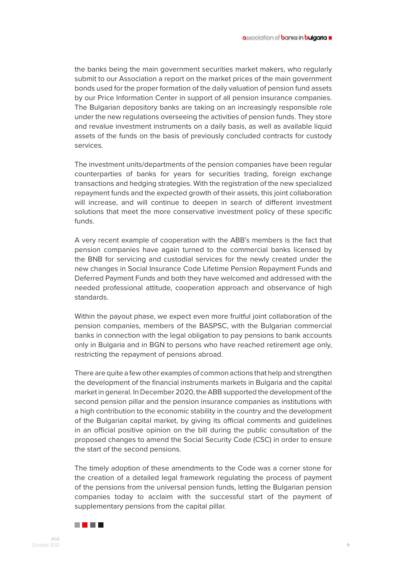the banks being the main government securities market makers, who regularly submit to our Association a report on the market prices of the main government bonds used for the proper formation of the daily valuation of pension fund assets by our Price Information Center in support of all pension insurance companies. The Bulgarian depository banks are taking on an increasingly responsible role under the new regulations overseeing the activities of pension funds. They store and revalue investment instruments on a daily basis, as well as available liquid assets of the funds on the basis of previously concluded contracts for custody services.

The investment units/departments of the pension companies have been regular counterparties of banks for years for securities trading, foreign exchange transactions and hedging strategies. With the registration of the new specialized repayment funds and the expected growth of their assets, this joint collaboration will increase, and will continue to deepen in search of different investment solutions that meet the more conservative investment policy of these specific funds.

A very recent example of cooperation with the ABB's members is the fact that pension companies have again turned to the commercial banks licensed by the BNB for servicing and custodial services for the newly created under the new changes in Social Insurance Code Lifetime Pension Repayment Funds and Deferred Payment Funds and both they have welcomed and addressed with the needed professional attitude, cooperation approach and observance of high standards.

Within the payout phase, we expect even more fruitful joint collaboration of the pension companies, members of the BASPSC, with the Bulgarian commercial banks in connection with the legal obligation to pay pensions to bank accounts only in Bulgaria and in BGN to persons who have reached retirement age only, restricting the repayment of pensions abroad.

There are quite a few other examples of common actions that help and strengthen the development of the financial instruments markets in Bulgaria and the capital market in general. In December 2020, the ABB supported the development of the second pension pillar and the pension insurance companies as institutions with a high contribution to the economic stability in the country and the development of the Bulgarian capital market, by giving its official comments and guidelines in an official positive opinion on the bill during the public consultation of the proposed changes to amend the Social Security Code (CSC) in order to ensure the start of the second pensions.

The timely adoption of these amendments to the Code was a corner stone for the creation of a detailed legal framework regulating the process of payment of the pensions from the universal pension funds, letting the Bulgarian pension companies today to acclaim with the successful start of the payment of supplementary pensions from the capital pillar.

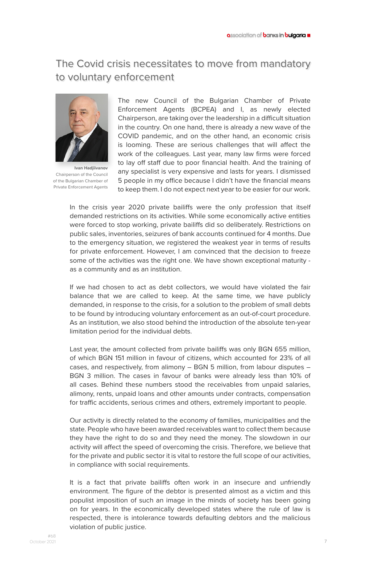# The Covid crisis necessitates to move from mandatory to voluntary enforcement



**Ivan Hadjiivanov** Chairperson of the Council of the Bulgarian Chamber of Private Enforcement Agents

The new Council of the Bulgarian Chamber of Private Enforcement Agents (BCPEA) and I, as newly elected Chairperson, are taking over the leadership in a difficult situation in the country. On one hand, there is already a new wave of the COVID pandemic, and on the other hand, an economic crisis is looming. These are serious challenges that will affect the work of the colleagues. Last year, many law firms were forced to lay off staff due to poor financial health. And the training of any specialist is very expensive and lasts for years. I dismissed 5 people in my office because I didn't have the financial means to keep them. I do not expect next year to be easier for our work.

In the crisis year 2020 private bailiffs were the only profession that itself demanded restrictions on its activities. While some economically active entities were forced to stop working, private bailiffs did so deliberately. Restrictions on public sales, inventories, seizures of bank accounts continued for 4 months. Due to the emergency situation, we registered the weakest year in terms of results for private enforcement. However, I am convinced that the decision to freeze some of the activities was the right one. We have shown exceptional maturity as a community and as an institution.

If we had chosen to act as debt collectors, we would have violated the fair balance that we are called to keep. At the same time, we have publicly demanded, in response to the crisis, for a solution to the problem of small debts to be found by introducing voluntary enforcement as an out-of-court procedure. As an institution, we also stood behind the introduction of the absolute ten-year limitation period for the individual debts.

Last year, the amount collected from private bailiffs was only BGN 655 million, of which BGN 151 million in favour of citizens, which accounted for 23% of all cases, and respectively, from alimony – BGN 5 million, from labour disputes – BGN 3 million. The cases in favour of banks were already less than 10% of all cases. Behind these numbers stood the receivables from unpaid salaries, alimony, rents, unpaid loans and other amounts under contracts, compensation for traffic accidents, serious crimes and others, extremely important to people.

Our activity is directly related to the economy of families, municipalities and the state. People who have been awarded receivables want to collect them because they have the right to do so and they need the money. The slowdown in our activity will affect the speed of overcoming the crisis. Therefore, we believe that for the private and public sector it is vital to restore the full scope of our activities, in compliance with social requirements.

It is a fact that private bailiffs often work in an insecure and unfriendly environment. The figure of the debtor is presented almost as a victim and this populist imposition of such an image in the minds of society has been going on for years. In the economically developed states where the rule of law is respected, there is intolerance towards defaulting debtors and the malicious violation of public justice.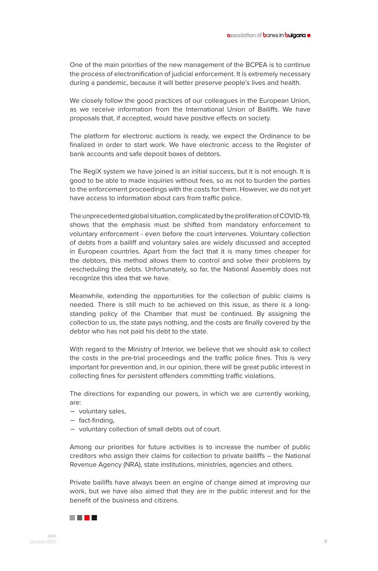One of the main priorities of the new management of the BCPEA is to continue the process of electronification of judicial enforcement. It is extremely necessary during a pandemic, because it will better preserve people's lives and health.

We closely follow the good practices of our colleagues in the European Union, as we receive information from the International Union of Bailiffs. We have proposals that, if accepted, would have positive effects on society.

The platform for electronic auctions is ready, we expect the Ordinance to be finalized in order to start work. We have electronic access to the Register of bank accounts and safe deposit boxes of debtors.

The RegiX system we have joined is an initial success, but it is not enough. It is good to be able to made inquiries without fees, so as not to burden the parties to the enforcement proceedings with the costs for them. However, we do not yet have access to information about cars from traffic police.

The unprecedented global situation, complicated by the proliferation of COVID-19, shows that the emphasis must be shifted from mandatory enforcement to voluntary enforcement - even before the court intervenes. Voluntary collection of debts from a bailiff and voluntary sales are widely discussed and accepted in European countries. Apart from the fact that it is many times cheaper for the debtors, this method allows them to control and solve their problems by rescheduling the debts. Unfortunately, so far, the National Assembly does not recognize this idea that we have.

Meanwhile, extending the opportunities for the collection of public claims is needed. There is still much to be achieved on this issue, as there is a longstanding policy of the Chamber that must be continued. By assigning the collection to us, the state pays nothing, and the costs are finally covered by the debtor who has not paid his debt to the state.

With regard to the Ministry of Interior, we believe that we should ask to collect the costs in the pre-trial proceedings and the traffic police fines. This is very important for prevention and, in our opinion, there will be great public interest in collecting fines for persistent offenders committing traffic violations.

The directions for expanding our powers, in which we are currently working, are:

- voluntary sales,
- fact-finding,
- voluntary collection of small debts out of court.

Among our priorities for future activities is to increase the number of public creditors who assign their claims for collection to private bailiffs – the National Revenue Agency (NRA), state institutions, ministries, agencies and others.

Private bailiffs have always been an engine of change aimed at improving our work, but we have also aimed that they are in the public interest and for the benefit of the business and citizens.